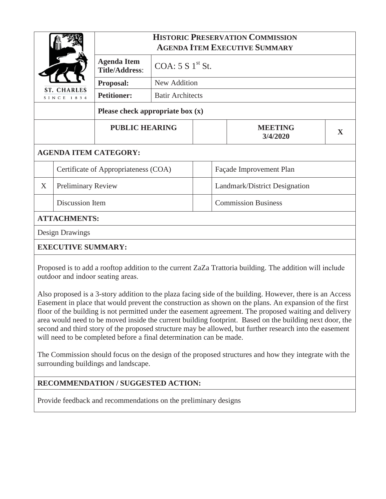| <b>ST. CHARLES</b><br>SINCE 1834   |                                      | <b>HISTORIC PRESERVATION COMMISSION</b><br><b>AGENDA ITEM EXECUTIVE SUMMARY</b> |                         |  |                               |                            |              |  |
|------------------------------------|--------------------------------------|---------------------------------------------------------------------------------|-------------------------|--|-------------------------------|----------------------------|--------------|--|
|                                    |                                      | <b>Agenda Item</b><br><b>Title/Address:</b>                                     | COA: $5 S1^{st}$ St.    |  |                               |                            |              |  |
|                                    |                                      | Proposal:                                                                       | New Addition            |  |                               |                            |              |  |
|                                    |                                      | <b>Petitioner:</b>                                                              | <b>Batir Architects</b> |  |                               |                            |              |  |
| Please check appropriate box $(x)$ |                                      |                                                                                 |                         |  |                               |                            |              |  |
|                                    |                                      | <b>PUBLIC HEARING</b>                                                           |                         |  |                               | <b>MEETING</b><br>3/4/2020 | $\mathbf{x}$ |  |
| <b>AGENDA ITEM CATEGORY:</b>       |                                      |                                                                                 |                         |  |                               |                            |              |  |
|                                    | Certificate of Appropriateness (COA) |                                                                                 |                         |  | Façade Improvement Plan       |                            |              |  |
| X                                  | Preliminary Review                   |                                                                                 |                         |  | Landmark/District Designation |                            |              |  |
|                                    | Discussion Item                      |                                                                                 |                         |  | <b>Commission Business</b>    |                            |              |  |
| <b>ATTACHMENTS:</b>                |                                      |                                                                                 |                         |  |                               |                            |              |  |
| <b>Design Drawings</b>             |                                      |                                                                                 |                         |  |                               |                            |              |  |
| <b>EXECUTIVE SUMMARY:</b>          |                                      |                                                                                 |                         |  |                               |                            |              |  |

Proposed is to add a rooftop addition to the current ZaZa Trattoria building. The addition will include outdoor and indoor seating areas.

Also proposed is a 3-story addition to the plaza facing side of the building. However, there is an Access Easement in place that would prevent the construction as shown on the plans. An expansion of the first floor of the building is not permitted under the easement agreement. The proposed waiting and delivery area would need to be moved inside the current building footprint. Based on the building next door, the second and third story of the proposed structure may be allowed, but further research into the easement will need to be completed before a final determination can be made.

The Commission should focus on the design of the proposed structures and how they integrate with the surrounding buildings and landscape.

## **RECOMMENDATION / SUGGESTED ACTION:**

Provide feedback and recommendations on the preliminary designs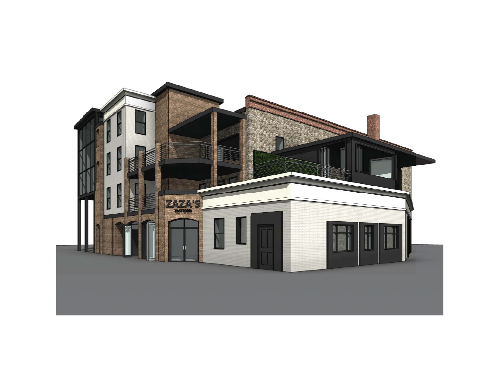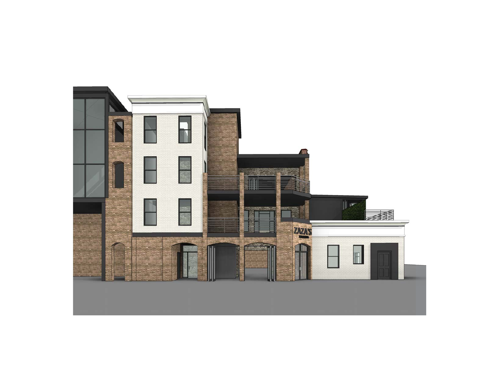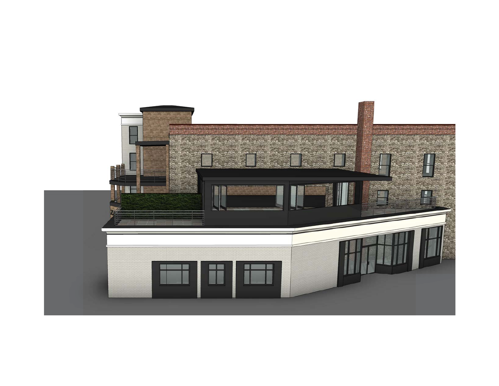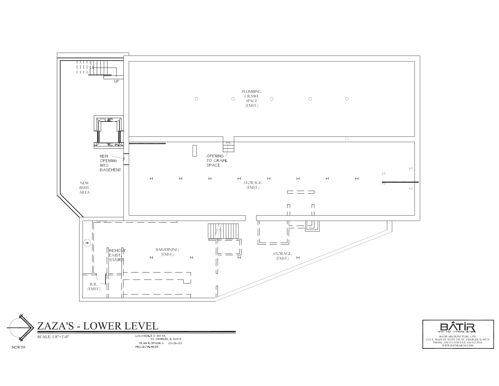

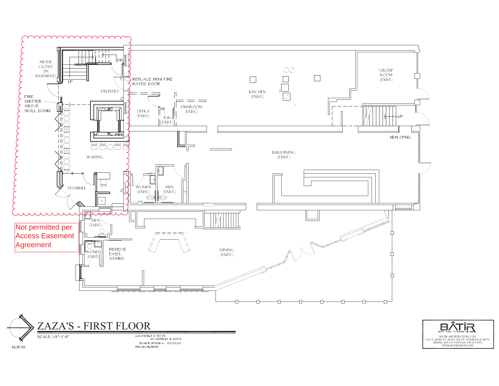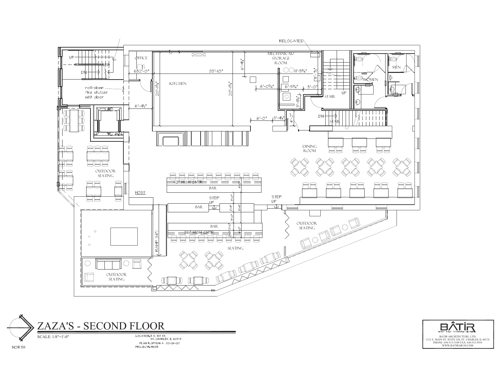





**NORTH**